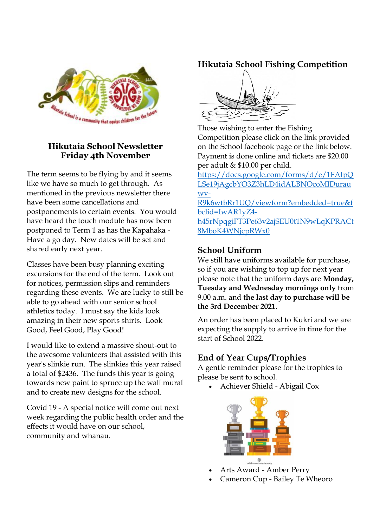

### **Hikutaia School Newsletter Friday 4th November**

The term seems to be flying by and it seems like we have so much to get through. As mentioned in the previous newsletter there have been some cancellations and postponements to certain events. You would have heard the touch module has now been postponed to Term 1 as has the Kapahaka - Have a go day. New dates will be set and shared early next year.

Classes have been busy planning exciting excursions for the end of the term. Look out for notices, permission slips and reminders regarding these events. We are lucky to still be able to go ahead with our senior school athletics today. I must say the kids look amazing in their new sports shirts. Look Good, Feel Good, Play Good!

I would like to extend a massive shout-out to the awesome volunteers that assisted with this year's slinkie run. The slinkies this year raised a total of \$2436. The funds this year is going towards new paint to spruce up the wall mural and to create new designs for the school.

Covid 19 - A special notice will come out next week regarding the public health order and the effects it would have on our school, community and whanau.

# **Hikutaia School Fishing Competition**



Those wishing to enter the Fishing Competition please click on the link provided on the School facebook page or the link below. Payment is done online and tickets are \$20.00 per adult & \$10.00 per child.

[https://docs.google.com/forms/d/e/1FAIpQ](https://docs.google.com/forms/d/e/1FAIpQLSe19jAgcbYO3Z3hLD4idALBNOcoMIDurauwv-R9k6wtbRr1UQ/viewform?embedded=true&fbclid=IwAR1yZ4-h45rNpqgiFT3Pe63v2ajSEU0t1N9wLqKPRACt8MboK4WNjcpRWx0) [LSe19jAgcbYO3Z3hLD4idALBNOcoMIDurau](https://docs.google.com/forms/d/e/1FAIpQLSe19jAgcbYO3Z3hLD4idALBNOcoMIDurauwv-R9k6wtbRr1UQ/viewform?embedded=true&fbclid=IwAR1yZ4-h45rNpqgiFT3Pe63v2ajSEU0t1N9wLqKPRACt8MboK4WNjcpRWx0) [wv-](https://docs.google.com/forms/d/e/1FAIpQLSe19jAgcbYO3Z3hLD4idALBNOcoMIDurauwv-R9k6wtbRr1UQ/viewform?embedded=true&fbclid=IwAR1yZ4-h45rNpqgiFT3Pe63v2ajSEU0t1N9wLqKPRACt8MboK4WNjcpRWx0)

[R9k6wtbRr1UQ/viewform?embedded=true&f](https://docs.google.com/forms/d/e/1FAIpQLSe19jAgcbYO3Z3hLD4idALBNOcoMIDurauwv-R9k6wtbRr1UQ/viewform?embedded=true&fbclid=IwAR1yZ4-h45rNpqgiFT3Pe63v2ajSEU0t1N9wLqKPRACt8MboK4WNjcpRWx0) [bclid=IwAR1yZ4](https://docs.google.com/forms/d/e/1FAIpQLSe19jAgcbYO3Z3hLD4idALBNOcoMIDurauwv-R9k6wtbRr1UQ/viewform?embedded=true&fbclid=IwAR1yZ4-h45rNpqgiFT3Pe63v2ajSEU0t1N9wLqKPRACt8MboK4WNjcpRWx0) [h45rNpqgiFT3Pe63v2ajSEU0t1N9wLqKPRACt](https://docs.google.com/forms/d/e/1FAIpQLSe19jAgcbYO3Z3hLD4idALBNOcoMIDurauwv-R9k6wtbRr1UQ/viewform?embedded=true&fbclid=IwAR1yZ4-h45rNpqgiFT3Pe63v2ajSEU0t1N9wLqKPRACt8MboK4WNjcpRWx0)

[8MboK4WNjcpRWx0](https://docs.google.com/forms/d/e/1FAIpQLSe19jAgcbYO3Z3hLD4idALBNOcoMIDurauwv-R9k6wtbRr1UQ/viewform?embedded=true&fbclid=IwAR1yZ4-h45rNpqgiFT3Pe63v2ajSEU0t1N9wLqKPRACt8MboK4WNjcpRWx0)

## **School Uniform**

We still have uniforms available for purchase, so if you are wishing to top up for next year please note that the uniform days are **Monday, Tuesday and Wednesday mornings only** from 9.00 a.m. and **the last day to purchase will be the 3rd December 2021.**

An order has been placed to Kukri and we are expecting the supply to arrive in time for the start of School 2022.

# **End of Year Cups/Trophies**

A gentle reminder please for the trophies to please be sent to school.

• Achiever Shield - Abigail Cox



- Arts Award Amber Perry
- Cameron Cup Bailey Te Wheoro